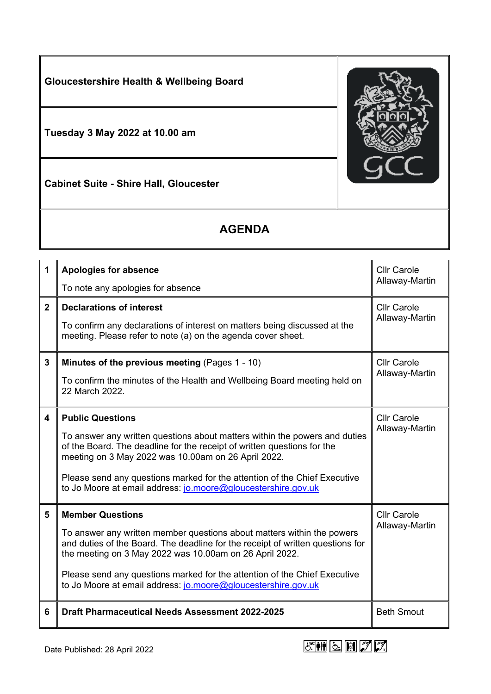

## **AGENDA**

| 1              | <b>Apologies for absence</b><br>To note any apologies for absence                                                                                                                                                                                                                                                                                                                            | <b>Cllr Carole</b><br>Allaway-Martin |
|----------------|----------------------------------------------------------------------------------------------------------------------------------------------------------------------------------------------------------------------------------------------------------------------------------------------------------------------------------------------------------------------------------------------|--------------------------------------|
| 2 <sup>1</sup> | <b>Declarations of interest</b><br>To confirm any declarations of interest on matters being discussed at the<br>meeting. Please refer to note (a) on the agenda cover sheet.                                                                                                                                                                                                                 | <b>Cllr Carole</b><br>Allaway-Martin |
| 3              | Minutes of the previous meeting (Pages 1 - 10)<br>To confirm the minutes of the Health and Wellbeing Board meeting held on<br>22 March 2022.                                                                                                                                                                                                                                                 | <b>Cllr Carole</b><br>Allaway-Martin |
| 4              | <b>Public Questions</b><br>To answer any written questions about matters within the powers and duties<br>of the Board. The deadline for the receipt of written questions for the<br>meeting on 3 May 2022 was 10.00am on 26 April 2022.<br>Please send any questions marked for the attention of the Chief Executive<br>to Jo Moore at email address: jo.moore@gloucestershire.gov.uk        | <b>Cllr Carole</b><br>Allaway-Martin |
| 5              | <b>Member Questions</b><br>To answer any written member questions about matters within the powers<br>and duties of the Board. The deadline for the receipt of written questions for<br>the meeting on 3 May 2022 was 10.00am on 26 April 2022.<br>Please send any questions marked for the attention of the Chief Executive<br>to Jo Moore at email address: jo.moore@gloucestershire.gov.uk | <b>Cllr Carole</b><br>Allaway-Martin |
| 6              | <b>Draft Pharmaceutical Needs Assessment 2022-2025</b>                                                                                                                                                                                                                                                                                                                                       | <b>Beth Smout</b>                    |

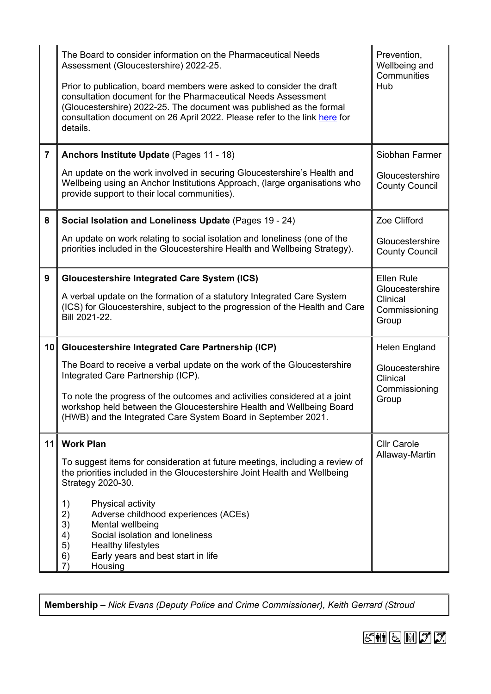|                         | The Board to consider information on the Pharmaceutical Needs<br>Assessment (Gloucestershire) 2022-25.<br>Prior to publication, board members were asked to consider the draft<br>consultation document for the Pharmaceutical Needs Assessment<br>(Gloucestershire) 2022-25. The document was published as the formal<br>consultation document on 26 April 2022. Please refer to the link here for<br>details. | Prevention,<br>Wellbeing and<br>Communities<br>Hub    |
|-------------------------|-----------------------------------------------------------------------------------------------------------------------------------------------------------------------------------------------------------------------------------------------------------------------------------------------------------------------------------------------------------------------------------------------------------------|-------------------------------------------------------|
| $\overline{\mathbf{7}}$ | Anchors Institute Update (Pages 11 - 18)                                                                                                                                                                                                                                                                                                                                                                        | Siobhan Farmer                                        |
|                         | An update on the work involved in securing Gloucestershire's Health and<br>Wellbeing using an Anchor Institutions Approach, (large organisations who<br>provide support to their local communities).                                                                                                                                                                                                            | Gloucestershire<br><b>County Council</b>              |
| 8                       | Social Isolation and Loneliness Update (Pages 19 - 24)                                                                                                                                                                                                                                                                                                                                                          | Zoe Clifford                                          |
|                         | An update on work relating to social isolation and loneliness (one of the<br>priorities included in the Gloucestershire Health and Wellbeing Strategy).                                                                                                                                                                                                                                                         | Gloucestershire<br><b>County Council</b>              |
| 9                       | <b>Gloucestershire Integrated Care System (ICS)</b>                                                                                                                                                                                                                                                                                                                                                             | <b>Ellen Rule</b>                                     |
|                         | A verbal update on the formation of a statutory Integrated Care System<br>(ICS) for Gloucestershire, subject to the progression of the Health and Care<br>Bill 2021-22.                                                                                                                                                                                                                                         | Gloucestershire<br>Clinical<br>Commissioning<br>Group |
| 10                      | <b>Gloucestershire Integrated Care Partnership (ICP)</b>                                                                                                                                                                                                                                                                                                                                                        | Helen England                                         |
|                         | The Board to receive a verbal update on the work of the Gloucestershire<br>Integrated Care Partnership (ICP).                                                                                                                                                                                                                                                                                                   | Gloucestershire<br>Clinical<br>Commissioning          |
|                         | To note the progress of the outcomes and activities considered at a joint<br>workshop held between the Gloucestershire Health and Wellbeing Board<br>(HWB) and the Integrated Care System Board in September 2021.                                                                                                                                                                                              | Group                                                 |
| 11                      | <b>Work Plan</b>                                                                                                                                                                                                                                                                                                                                                                                                | <b>Cllr Carole</b>                                    |
|                         | To suggest items for consideration at future meetings, including a review of<br>the priorities included in the Gloucestershire Joint Health and Wellbeing<br>Strategy 2020-30.                                                                                                                                                                                                                                  | Allaway-Martin                                        |
|                         | Physical activity<br>1)<br>2)<br>Adverse childhood experiences (ACEs)                                                                                                                                                                                                                                                                                                                                           |                                                       |
|                         | 3)<br>Mental wellbeing                                                                                                                                                                                                                                                                                                                                                                                          |                                                       |
|                         | Social isolation and loneliness<br>4)<br><b>Healthy lifestyles</b><br>5)                                                                                                                                                                                                                                                                                                                                        |                                                       |
|                         | Early years and best start in life<br>6)                                                                                                                                                                                                                                                                                                                                                                        |                                                       |
|                         | Housing<br>7)                                                                                                                                                                                                                                                                                                                                                                                                   |                                                       |

**Membership –** *Nick Evans (Deputy Police and Crime Commissioner), Keith Gerrard (Stroud*